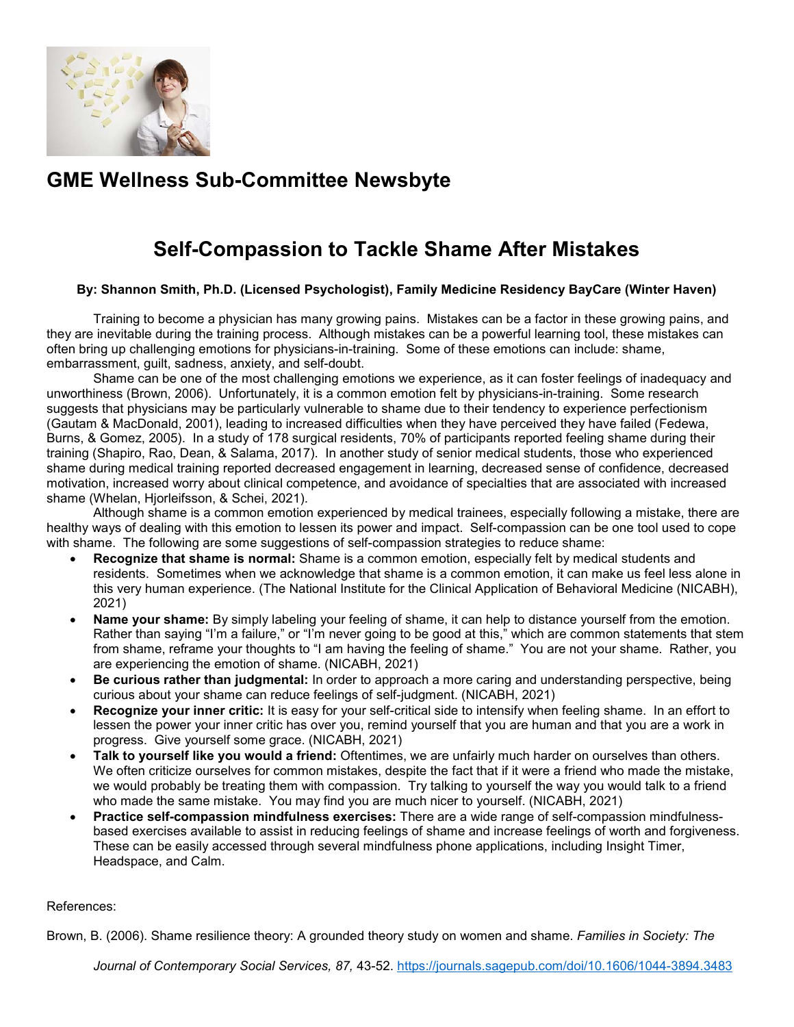

## **GME Wellness Sub-Committee Newsbyte**

## **Self-Compassion to Tackle Shame After Mistakes**

## **By: Shannon Smith, Ph.D. (Licensed Psychologist), Family Medicine Residency BayCare (Winter Haven)**

Training to become a physician has many growing pains. Mistakes can be a factor in these growing pains, and they are inevitable during the training process. Although mistakes can be a powerful learning tool, these mistakes can often bring up challenging emotions for physicians-in-training. Some of these emotions can include: shame, embarrassment, guilt, sadness, anxiety, and self-doubt.

Shame can be one of the most challenging emotions we experience, as it can foster feelings of inadequacy and unworthiness (Brown, 2006). Unfortunately, it is a common emotion felt by physicians-in-training. Some research suggests that physicians may be particularly vulnerable to shame due to their tendency to experience perfectionism (Gautam & MacDonald, 2001), leading to increased difficulties when they have perceived they have failed (Fedewa, Burns, & Gomez, 2005). In a study of 178 surgical residents, 70% of participants reported feeling shame during their training (Shapiro, Rao, Dean, & Salama, 2017). In another study of senior medical students, those who experienced shame during medical training reported decreased engagement in learning, decreased sense of confidence, decreased motivation, increased worry about clinical competence, and avoidance of specialties that are associated with increased shame (Whelan, Hjorleifsson, & Schei, 2021).

Although shame is a common emotion experienced by medical trainees, especially following a mistake, there are healthy ways of dealing with this emotion to lessen its power and impact. Self-compassion can be one tool used to cope with shame. The following are some suggestions of self-compassion strategies to reduce shame:

- **Recognize that shame is normal:** Shame is a common emotion, especially felt by medical students and residents. Sometimes when we acknowledge that shame is a common emotion, it can make us feel less alone in this very human experience. (The National Institute for the Clinical Application of Behavioral Medicine (NICABH), 2021)
- **Name your shame:** By simply labeling your feeling of shame, it can help to distance yourself from the emotion. Rather than saying "I'm a failure," or "I'm never going to be good at this," which are common statements that stem from shame, reframe your thoughts to "I am having the feeling of shame." You are not your shame. Rather, you are experiencing the emotion of shame. (NICABH, 2021)
- **Be curious rather than judgmental:** In order to approach a more caring and understanding perspective, being curious about your shame can reduce feelings of self-judgment. (NICABH, 2021)
- **Recognize your inner critic:** It is easy for your self-critical side to intensify when feeling shame. In an effort to lessen the power your inner critic has over you, remind yourself that you are human and that you are a work in progress. Give yourself some grace. (NICABH, 2021)
- **Talk to yourself like you would a friend:** Oftentimes, we are unfairly much harder on ourselves than others. We often criticize ourselves for common mistakes, despite the fact that if it were a friend who made the mistake, we would probably be treating them with compassion. Try talking to yourself the way you would talk to a friend who made the same mistake. You may find you are much nicer to yourself. (NICABH, 2021)
- **Practice self-compassion mindfulness exercises:** There are a wide range of self-compassion mindfulnessbased exercises available to assist in reducing feelings of shame and increase feelings of worth and forgiveness. These can be easily accessed through several mindfulness phone applications, including Insight Timer, Headspace, and Calm.

## References:

Brown, B. (2006). Shame resilience theory: A grounded theory study on women and shame. *Families in Society: The* 

*Journal of Contemporary Social Services, 87,* 43-52.<https://journals.sagepub.com/doi/10.1606/1044-3894.3483>